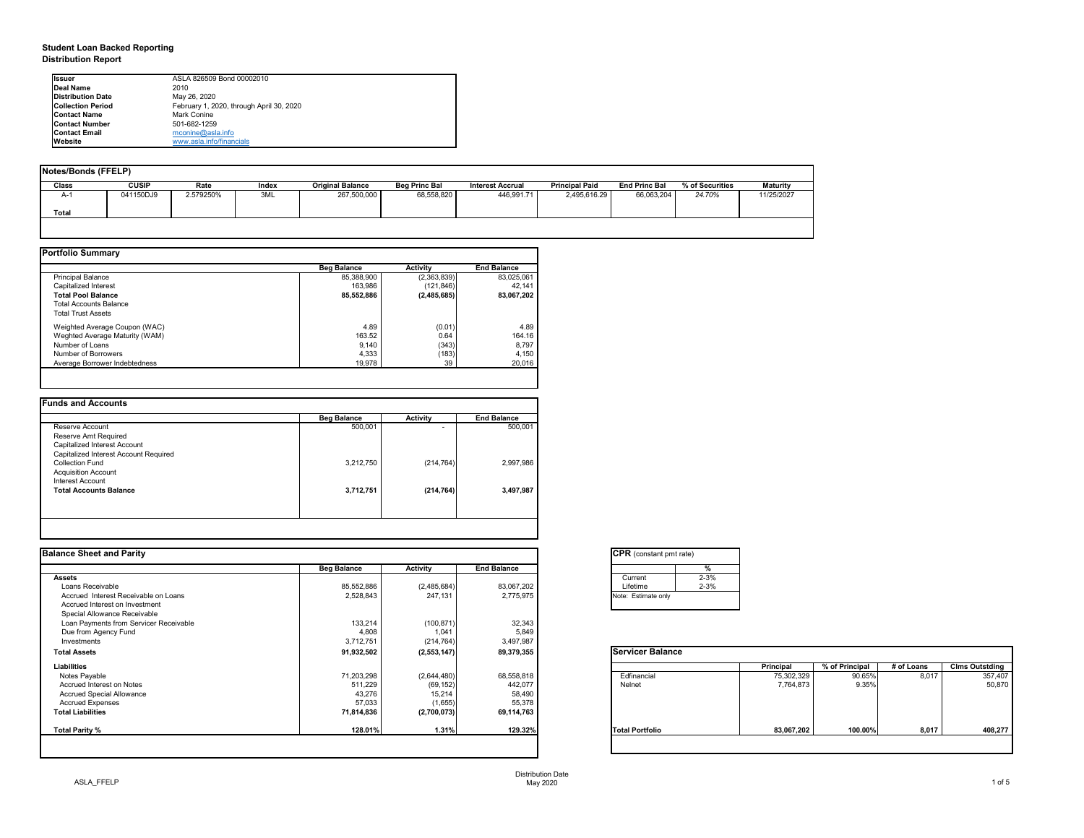## **Student Loan Backed Reporting Distribution Report**

| <b>Notes/Bonds (FFELP)</b> |              |           |              |                         |                      |                         |                       |                      |                 |                 |
|----------------------------|--------------|-----------|--------------|-------------------------|----------------------|-------------------------|-----------------------|----------------------|-----------------|-----------------|
| Class                      | <b>CUSIP</b> | Rate      | <b>Index</b> | <b>Original Balance</b> | <b>Beg Princ Bal</b> | <b>Interest Accrual</b> | <b>Principal Paid</b> | <b>End Princ Bal</b> | % of Securities | <b>Maturity</b> |
| A-1                        | 041150DJ9    | 2.579250% | 3ML          | 267,500,000             | 68,558,820           | 446,991.71              | 2,495,616.29          | 66,063,204           | 24.70%          | 11/25/2027      |
| <b>Total</b>               |              |           |              |                         |                      |                         |                       |                      |                 |                 |
|                            |              |           |              |                         |                      |                         |                       |                      |                 |                 |

|                                | <b>Beg Balance</b> | <b>Activity</b> | <b>End Balance</b> |
|--------------------------------|--------------------|-----------------|--------------------|
| <b>Principal Balance</b>       | 85,388,900         | (2,363,839)     | 83,025,061         |
| Capitalized Interest           | 163,986            | (121, 846)      | 42,141             |
| <b>Total Pool Balance</b>      | 85,552,886         | (2,485,685)     | 83,067,202         |
| <b>Total Accounts Balance</b>  |                    |                 |                    |
| <b>Total Trust Assets</b>      |                    |                 |                    |
| Weighted Average Coupon (WAC)  | 4.89               | (0.01)          | 4.89               |
| Weghted Average Maturity (WAM) | 163.52             | 0.64            | 164.16             |
| Number of Loans                | 9,140              | (343)           | 8,797              |
| Number of Borrowers            | 4,333              | (183)           | 4,150              |
| Average Borrower Indebtedness  | 19,978             | 39              | 20,016             |

|                                       | <b>Beg Balance</b> | <b>Activity</b>          | <b>End Balance</b> |
|---------------------------------------|--------------------|--------------------------|--------------------|
| Reserve Account                       | 500,001            | $\overline{\phantom{0}}$ | 500,001            |
| Reserve Amt Required                  |                    |                          |                    |
| Capitalized Interest Account          |                    |                          |                    |
| Capitalized Interest Account Required |                    |                          |                    |
| <b>Collection Fund</b>                | 3,212,750          | (214, 764)               | 2,997,986          |
| <b>Acquisition Account</b>            |                    |                          |                    |
| Interest Account                      |                    |                          |                    |
| <b>Total Accounts Balance</b>         | 3,712,751          | (214, 764)               | 3,497,987          |

| <b>Balance Sheet and Parity</b> |  |  |
|---------------------------------|--|--|
|                                 |  |  |

| Ilssuer                   | ASLA 826509 Bond 00002010                |
|---------------------------|------------------------------------------|
| Deal Name                 | 2010                                     |
| <b>IDistribution Date</b> | May 26, 2020                             |
| <b>ICollection Period</b> | February 1, 2020, through April 30, 2020 |
| <b>IContact Name</b>      | <b>Mark Conine</b>                       |
| <b>IContact Number</b>    | 501-682-1259                             |
| <b>IContact Email</b>     | $m$ conine@asla.info                     |
| <b>IWebsite</b>           | www.asla.info/financials                 |

|                    |                 |                    | <b>CPR</b> (constant pmt rate) |            |                      |            |                       |
|--------------------|-----------------|--------------------|--------------------------------|------------|----------------------|------------|-----------------------|
| <b>Beg Balance</b> | <b>Activity</b> | <b>End Balance</b> |                                |            |                      |            |                       |
|                    |                 |                    | Current                        |            |                      |            |                       |
|                    |                 |                    | Lifetime                       |            |                      |            |                       |
| 2,528,843          | 247,131         | 2,775,975          | Note: Estimate only            |            |                      |            |                       |
|                    |                 |                    |                                |            |                      |            |                       |
|                    |                 |                    |                                |            |                      |            |                       |
| 133,214            | (100, 871)      | 32,343             |                                |            |                      |            |                       |
| 4,808              | 1,041           | 5,849              |                                |            |                      |            |                       |
| 3,712,751          | (214, 764)      | 3,497,987          |                                |            |                      |            |                       |
| 91,932,502         | (2, 553, 147)   | 89,379,355         | <b>Servicer Balance</b>        |            |                      |            |                       |
|                    |                 |                    |                                | Principal  | % of Principal       | # of Loans | <b>Clms Outstding</b> |
| 71,203,298         | (2,644,480)     | 68,558,818         | Edfinancial                    | 75,302,329 | 90.65%               | 8,017      | 357,407               |
| 511,229            | (69, 152)       | 442,077            | Nelnet                         | 7,764,873  | 9.35%                |            | 50,870                |
| 43,276             | 15,214          | 58,490             |                                |            |                      |            |                       |
| 57,033             | (1,655)         | 55,378             |                                |            |                      |            |                       |
| 71,814,836         | (2,700,073)     | 69,114,763         |                                |            |                      |            |                       |
| 128.01%            | 1.31%           | 129.32%            | <b>Total Portfolio</b>         | 83,067,202 | 100.00%              | 8,017      | 408,277               |
|                    | 85,552,886      | (2,485,684)        | 83,067,202                     | %          | $2 - 3%$<br>$2 - 3%$ |            |                       |

| ₹<br>n = 1<br>، صه | ı.<br>r: 1 |
|--------------------|------------|
|                    |            |

| ant pmt rate) |          |
|---------------|----------|
|               | %        |
|               | $2 - 3%$ |
|               | $2 - 3%$ |
| e only        |          |
|               |          |

|     | <b>Principal</b> | % of Principal | # of Loans | <b>Clms Outstding</b> |
|-----|------------------|----------------|------------|-----------------------|
|     | 75,302,329       | 90.65%         | 8,017      | 357,407               |
|     | 7,764,873        | 9.35%          |            | 50,870                |
|     |                  |                |            |                       |
|     |                  |                |            |                       |
|     |                  |                |            |                       |
|     |                  |                |            |                       |
| lio | 83,067,202       | 100.00%        | 8,017      | 408,277               |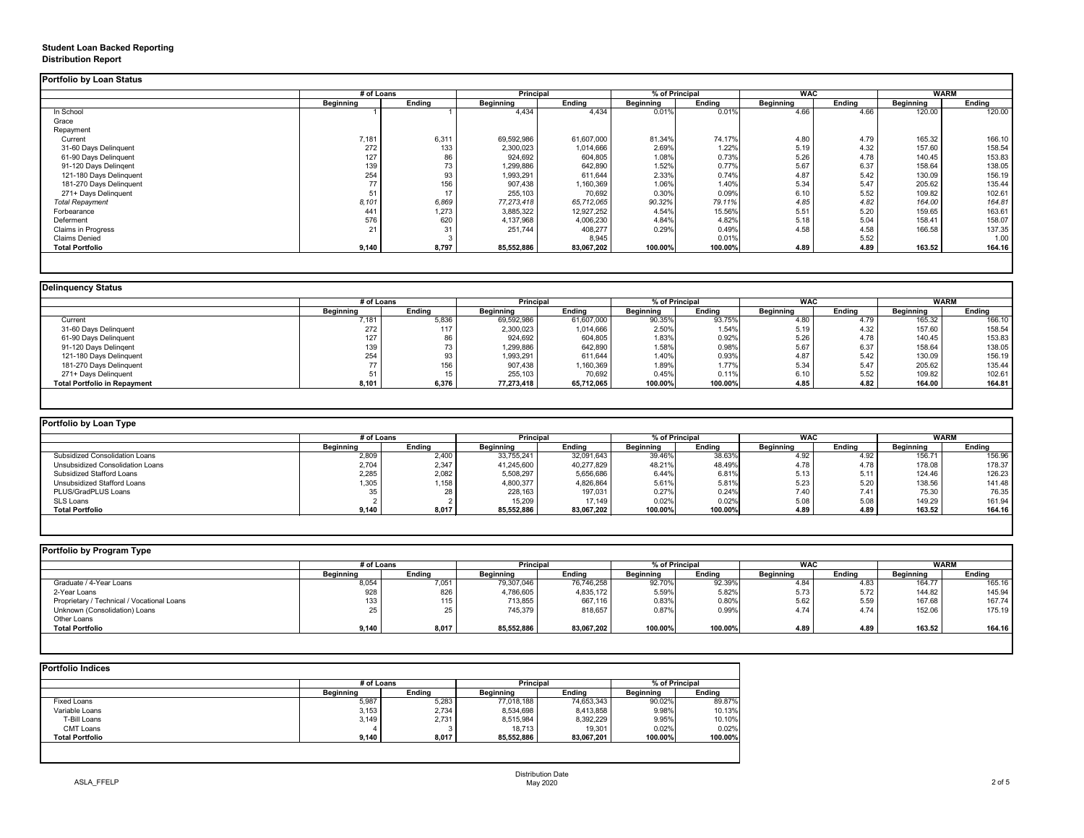# **Student Loan Backed Reporting Distribution Report**

|                         | # of Loans       |               | <b>Principal</b> |               | % of Principal   |               | <b>WAC</b>       |               | <b>WARM</b>      |               |
|-------------------------|------------------|---------------|------------------|---------------|------------------|---------------|------------------|---------------|------------------|---------------|
|                         | <b>Beginning</b> | <b>Ending</b> | <b>Beginning</b> | <b>Ending</b> | <b>Beginning</b> | <b>Ending</b> | <b>Beginning</b> | <b>Ending</b> | <b>Beginning</b> | <b>Ending</b> |
| In School               |                  |               | 4,434            | 4,434         | 0.01%            | 0.01%         | 4.66             | 4.66          | 120.00           | 120.00        |
| Grace                   |                  |               |                  |               |                  |               |                  |               |                  |               |
| Repayment               |                  |               |                  |               |                  |               |                  |               |                  |               |
| Current                 | 7,181            | 6,311         | 69,592,986       | 61,607,000    | 81.34%           | 74.17%        | 4.80             | 4.79          | 165.32           | 166.10        |
| 31-60 Days Delinquent   | 272              | 133           | 2,300,023        | 1,014,666     | 2.69%            | 1.22%         | 5.19             | 4.32          | 157.60           | 158.54        |
| 61-90 Days Delinquent   | 127              | 86            | 924,692          | 604,805       | 1.08%            | 0.73%         | 5.26             | 4.78          | 140.45           | 153.83        |
| 91-120 Days Delingent   | 139              | 73            | 1,299,886        | 642,890       | 1.52%            | 0.77%         | 5.67             | 6.37          | 158.64           | 138.05        |
| 121-180 Days Delinquent | 254              | 93            | 1,993,291        | 611,644       | 2.33%            | 0.74%         | 4.87             | 5.42          | 130.09           | 156.19        |
| 181-270 Days Delinquent | 77               | 156           | 907,438          | ,160,369      | 1.06%            | 1.40%         | 5.34             | 5.47          | 205.62           | 135.44        |
| 271+ Days Delinquent    | 51               | 17            | 255,103          | 70,692        | 0.30%            | 0.09%         | 6.10             | 5.52          | 109.82           | 102.61        |
| <b>Total Repayment</b>  | 8,101            | 6,869         | 77, 273, 418     | 65,712,065    | 90.32%           | 79.11%        | 4.85             | 4.82          | 164.00           | 164.81        |
| Forbearance             | 441              | 1,273         | 3,885,322        | 12,927,252    | 4.54%            | 15.56%        | 5.51             | 5.20          | 159.65           | 163.61        |
| Deferment               | 576              | 620           | 4,137,968        | 4,006,230     | 4.84%            | 4.82%         | 5.18             | 5.04          | 158.41           | 158.07        |
| Claims in Progress      | 21               | 31            | 251,744          | 408,277       | 0.29%            | 0.49%         | 4.58             | 4.58          | 166.58           | 137.35        |
| <b>Claims Denied</b>    |                  |               |                  | 8,945         |                  | 0.01%         |                  | 5.52          |                  | 1.00          |
| <b>Total Portfolio</b>  | 9,140            | 8,797         | 85,552,886       | 83,067,202    | 100.00%          | 100.00%       | 4.89             | 4.89          | 163.52           | 164.16        |

| # of Loans<br><b>Beginning</b><br>7,181 | <b>Ending</b><br>5,836   | <b>Principal</b><br><b>Beginning</b> | <b>Ending</b> | % of Principal<br><b>Beginning</b> |               | <b>WAC</b>       |               |                  |               |
|-----------------------------------------|--------------------------|--------------------------------------|---------------|------------------------------------|---------------|------------------|---------------|------------------|---------------|
|                                         |                          |                                      |               |                                    |               |                  |               | <b>WARM</b>      |               |
|                                         |                          |                                      |               |                                    | <b>Ending</b> | <b>Beginning</b> | <b>Ending</b> | <b>Beginning</b> | <b>Ending</b> |
|                                         |                          | 69,592,986                           | 61,607,000    | 90.35%                             | 93.75%        | 4.80             | 4.79          | 165.32           | 166.10        |
| 272                                     | 117                      | 2,300,023                            | 1,014,666     | 2.50%                              | 1.54%         | 5.19             | 4.32          | 157.60           | 158.54        |
| 127                                     | 86                       | 924,692                              | 604,805       | 1.83%                              | 0.92%         | 5.26             | 4.78          | 140.45           | 153.83        |
| 139                                     | $\overline{\phantom{a}}$ | ,299,886                             | 642,890       | 1.58%                              | 0.98%         | 5.67             | 6.37          | 158.64           | 138.05        |
| 254                                     | 93                       | 1,993,291                            | 611,644       | 1.40%                              | 0.93%         | 4.87             | 5.42          | 130.09           | 156.19        |
|                                         | 156                      | 907,438                              | 1,160,369     | 1.89%                              | 1.77%         | 5.34             | 5.47          | 205.62           | 135.44        |
|                                         | 15                       | 255,103                              | 70,692        | 0.45%                              | 0.11%         | 6.10             | 5.52          | 109.82           | 102.61        |
| 8,101                                   | 6,376                    | 77,273,418                           | 65,712,065    | 100.00%                            | 100.00%       | 4.85             | 4.82          | 164.00           | 164.81        |
|                                         |                          |                                      |               |                                    |               |                  |               |                  |               |

| Portfolio by Loan Type                |                  |        |                  |                  |                  |                |                  |               |                  |               |
|---------------------------------------|------------------|--------|------------------|------------------|------------------|----------------|------------------|---------------|------------------|---------------|
|                                       | # of Loans       |        |                  | <b>Principal</b> |                  | % of Principal |                  | <b>WAC</b>    |                  | WARM          |
|                                       | <b>Beginning</b> | Ending | <b>Beginning</b> | <b>Ending</b>    | <b>Beginning</b> | <b>Ending</b>  | <b>Beginning</b> | <b>Ending</b> | <b>Beginning</b> | <b>Ending</b> |
| <b>Subsidized Consolidation Loans</b> | 2,809            | 2,400  | 33,755,241       | 32,091,643       | 39.46%           | 38.63%         | 4.92             | 4.92          | 156.7'           | 156.96        |
| Unsubsidized Consolidation Loans      | 2,704            | 2,347  | 41,245,600       | 40,277,829       | 48.21%           | 48.49%         | 4.78             | 4.78          | 178.08           | 178.37        |
| <b>Subsidized Stafford Loans</b>      | 2,285            | 2,082  | 5,508,297        | 5,656,686        | 6.44%            | 6.81%          | 5.13             | 5.11          | 124.46           | 126.23        |
| Unsubsidized Stafford Loans           | $^{\circ},305$   | 158    | 4,800,377        | 4,826,864        | 5.61%            | 5.81%          | 5.23             | 5.20          | 138.56           | 141.48        |
| PLUS/GradPLUS Loans                   |                  | 00     | 228,163          | 197,031          | 0.27%            | 0.24%          | 7.40             | 7.41          | 75.30            | 76.35         |
| SLS Loans                             |                  |        | 15,209           | 17,149           | 0.02%            | 0.02%          | 5.08             | 5.08          | 149.29           | 161.94        |
| <b>Total Portfolio</b>                | 9,140            | 8,017  | 85,552,886       | 83,067,202       | 100.00%          | 100.00%        | 4.89             | 4.89          | 163.52           | 164.16        |

| Portfolio by Program Type                  |                  |               |                  |                  |                  |                |                  |               |                  |               |  |
|--------------------------------------------|------------------|---------------|------------------|------------------|------------------|----------------|------------------|---------------|------------------|---------------|--|
|                                            |                  | # of Loans    |                  | <b>Principal</b> |                  | % of Principal |                  | <b>WAC</b>    |                  | WARM          |  |
|                                            | <b>Beginning</b> | <b>Ending</b> | <b>Beginning</b> | <b>Ending</b>    | <b>Beginning</b> | <b>Ending</b>  | <b>Beginning</b> | <b>Ending</b> | <b>Beginning</b> | <b>Ending</b> |  |
| Graduate / 4-Year Loans                    | 8,054            | 7,051         | 79,307,046       | 76,746,258       | 92.70%           | 92.39%         | 4.84             | 4.83          | 164.77           | 165.16        |  |
| 2-Year Loans                               | 928              | 826           | 4,786,605        | 4,835,172        | 5.59%            | 5.82%          | 5.73             | 5.72          | 144.82           | 145.94        |  |
| Proprietary / Technical / Vocational Loans | 133              | 115           | 713,855          | 667,116          | 0.83%            | 0.80%          | 5.62             | 5.59          | 167.68           | 167.74        |  |
| Unknown (Consolidation) Loans              | 25               | 25            | 745,379          | 818,657          | 0.87%            | 0.99%          | 4.74             | 4.74          | 152.06           | 175.19        |  |
| Other Loans                                |                  |               |                  |                  |                  |                |                  |               |                  |               |  |
| <b>Total Portfolio</b>                     | 9,140            | 8,017         | 85,552,886       | 83,067,202       | 100.00%          | 100.00%        | 4.89             | 4.89          | 163.52           | 164.16        |  |
|                                            |                  |               |                  |                  |                  |                |                  |               |                  |               |  |

|                        | # of Loans       |               | <b>Principal</b> |               | % of Principal   |               |
|------------------------|------------------|---------------|------------------|---------------|------------------|---------------|
|                        | <b>Beginning</b> | <b>Ending</b> | <b>Beginning</b> | <b>Ending</b> | <b>Beginning</b> | <b>Ending</b> |
| <b>Fixed Loans</b>     | 5,987            | 5,283         | 77,018,188       | 74,653,343    | 90.02%           | 89.87%        |
| Variable Loans         | 3,153            | 2,734         | 8,534,698        | 8,413,858     | 9.98%            | 10.13%        |
| T-Bill Loans           | 3,149            | 2,731         | 8,515,984        | 8,392,229     | 9.95%            | 10.10%        |
| <b>CMT Loans</b>       |                  |               | 18,713           | 19,301        | 0.02%            | 0.02%         |
| <b>Total Portfolio</b> | 9,140            | 8,017         | 85,552,886       | 83,067,201    | 100.00%          | 100.00%       |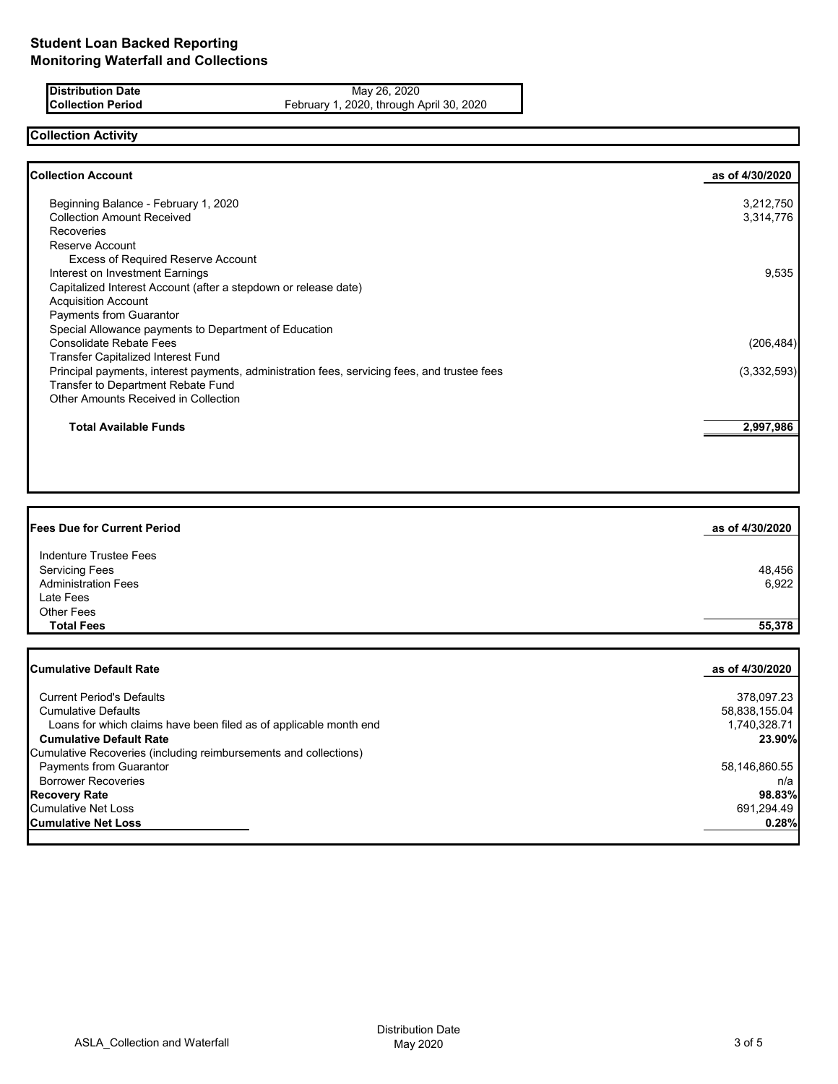**Distribution Date** May 26, 2020<br>**Collection Period** February 1, 2020, through *F* February 1, 2020, through April 30, 2020

## **Collection Activity**

| <b>Collection Account</b>                                                                    | as of 4/30/2020 |
|----------------------------------------------------------------------------------------------|-----------------|
| Beginning Balance - February 1, 2020                                                         | 3,212,750       |
| <b>Collection Amount Received</b>                                                            | 3,314,776       |
| <b>Recoveries</b>                                                                            |                 |
| Reserve Account                                                                              |                 |
| <b>Excess of Required Reserve Account</b>                                                    |                 |
| Interest on Investment Earnings                                                              | 9,535           |
| Capitalized Interest Account (after a stepdown or release date)                              |                 |
| <b>Acquisition Account</b>                                                                   |                 |
| <b>Payments from Guarantor</b>                                                               |                 |
| Special Allowance payments to Department of Education                                        |                 |
| <b>Consolidate Rebate Fees</b>                                                               | (206, 484)      |
| <b>Transfer Capitalized Interest Fund</b>                                                    |                 |
| Principal payments, interest payments, administration fees, servicing fees, and trustee fees | (3,332,593)     |
| Transfer to Department Rebate Fund                                                           |                 |
| Other Amounts Received in Collection                                                         |                 |
| <b>Total Available Funds</b>                                                                 | 2,997,986       |
|                                                                                              |                 |

| <b>Fees Due for Current Period</b> | as of 4/30/2020 |
|------------------------------------|-----------------|
| <b>Indenture Trustee Fees</b>      |                 |
| <b>Servicing Fees</b>              | 48,456          |
| <b>Administration Fees</b>         | 6,922           |
| Late Fees                          |                 |
| Other Fees                         |                 |
| <b>Total Fees</b>                  | 55,378          |
|                                    |                 |
|                                    |                 |

| Cumulative Default Rate                                           | as of 4/30/2020 |
|-------------------------------------------------------------------|-----------------|
| <b>Current Period's Defaults</b>                                  | 378,097.23      |
| <b>Cumulative Defaults</b>                                        | 58,838,155.04   |
| Loans for which claims have been filed as of applicable month end | 1,740,328.71    |
| <b>Cumulative Default Rate</b>                                    | 23.90%          |
| Cumulative Recoveries (including reimbursements and collections)  |                 |
| <b>Payments from Guarantor</b>                                    | 58,146,860.55   |
| <b>Borrower Recoveries</b>                                        | n/a             |
| <b>Recovery Rate</b>                                              | 98.83%          |
| Cumulative Net Loss                                               | 691,294.49      |
| ICumulative Net Loss                                              | 0.28%           |
|                                                                   |                 |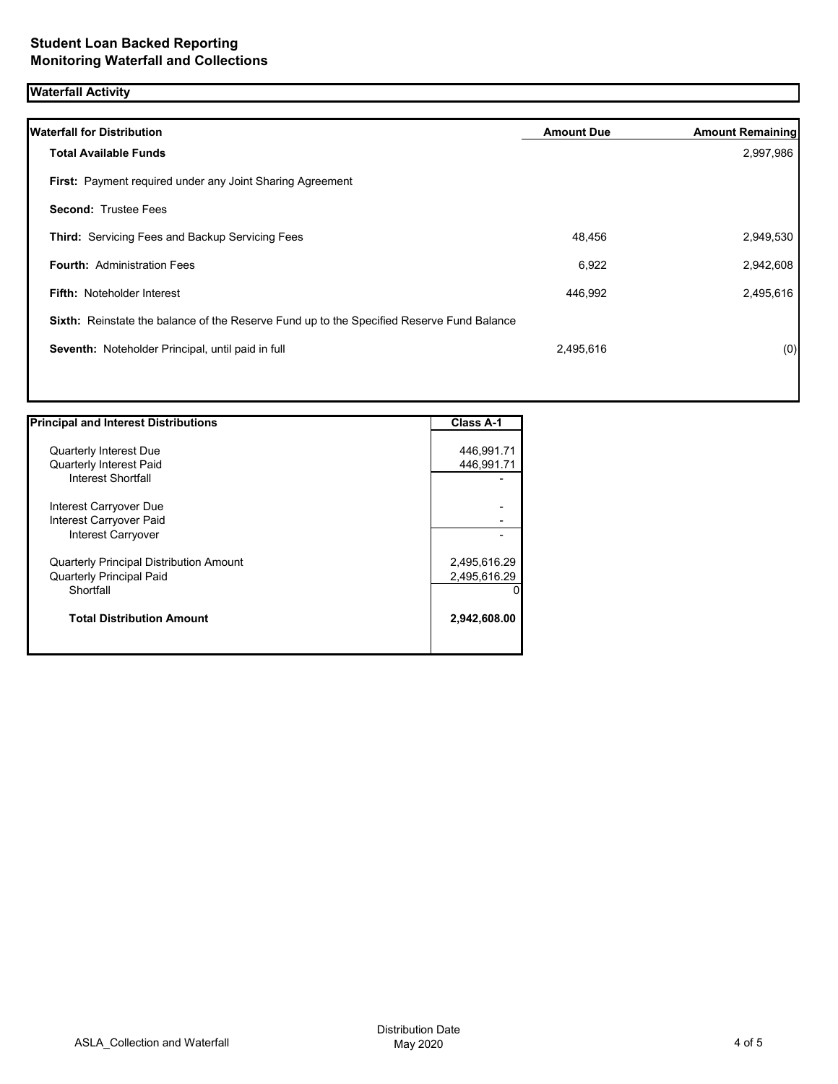## **Waterfall Activity**

| <b>Waterfall for Distribution</b>                                                         | <b>Amount Due</b> | <b>Amount Remaining</b> |
|-------------------------------------------------------------------------------------------|-------------------|-------------------------|
| <b>Total Available Funds</b>                                                              |                   | 2,997,986               |
| First: Payment required under any Joint Sharing Agreement                                 |                   |                         |
| <b>Second: Trustee Fees</b>                                                               |                   |                         |
| <b>Third: Servicing Fees and Backup Servicing Fees</b>                                    | 48,456            | 2,949,530               |
| <b>Fourth: Administration Fees</b>                                                        | 6,922             | 2,942,608               |
| <b>Fifth: Noteholder Interest</b>                                                         | 446,992           | 2,495,616               |
| Sixth: Reinstate the balance of the Reserve Fund up to the Specified Reserve Fund Balance |                   |                         |
| Seventh: Noteholder Principal, until paid in full                                         | 2,495,616         | (0)                     |
|                                                                                           |                   |                         |

| <b>Principal and Interest Distributions</b>    | <b>Class A-1</b> |
|------------------------------------------------|------------------|
|                                                |                  |
| Quarterly Interest Due                         | 446,991.71       |
| <b>Quarterly Interest Paid</b>                 | 446,991.71       |
| Interest Shortfall                             |                  |
| Interest Carryover Due                         |                  |
| Interest Carryover Paid                        |                  |
| Interest Carryover                             |                  |
| <b>Quarterly Principal Distribution Amount</b> | 2,495,616.29     |
| <b>Quarterly Principal Paid</b>                | 2,495,616.29     |
| Shortfall                                      | $\Omega$         |
| <b>Total Distribution Amount</b>               | 2,942,608.00     |
|                                                |                  |